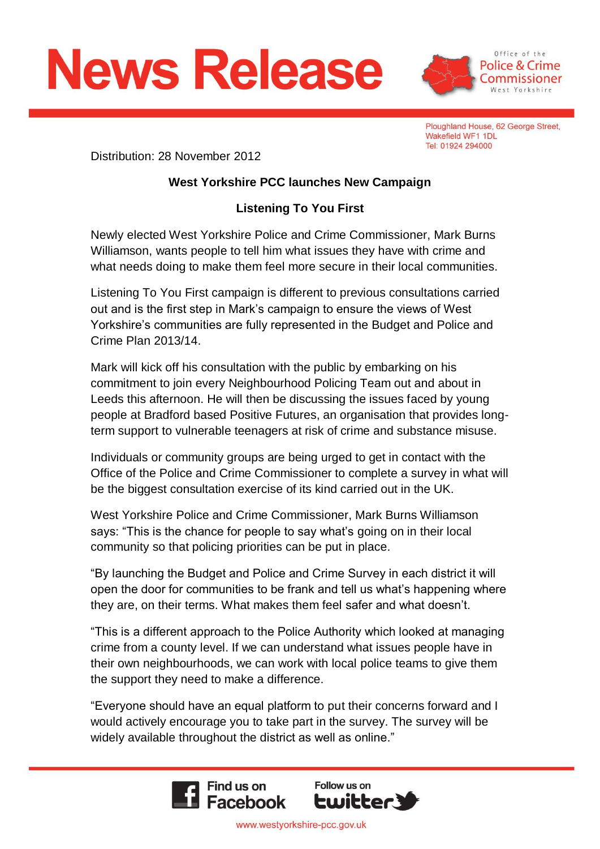



Ploughland House, 62 George Street, Wakefield WF1 1DL Tel: 01924 294000

Distribution: 28 November 2012

## **West Yorkshire PCC launches New Campaign**

## **Listening To You First**

Newly elected West Yorkshire Police and Crime Commissioner, Mark Burns Williamson, wants people to tell him what issues they have with crime and what needs doing to make them feel more secure in their local communities.

Listening To You First campaign is different to previous consultations carried out and is the first step in Mark's campaign to ensure the views of West Yorkshire's communities are fully represented in the Budget and Police and Crime Plan 2013/14.

Mark will kick off his consultation with the public by embarking on his commitment to join every Neighbourhood Policing Team out and about in Leeds this afternoon. He will then be discussing the issues faced by young people at Bradford based Positive Futures, an organisation that provides longterm support to vulnerable teenagers at risk of crime and substance misuse.

Individuals or community groups are being urged to get in contact with the Office of the Police and Crime Commissioner to complete a survey in what will be the biggest consultation exercise of its kind carried out in the UK.

West Yorkshire Police and Crime Commissioner, Mark Burns Williamson says: "This is the chance for people to say what's going on in their local community so that policing priorities can be put in place.

"By launching the Budget and Police and Crime Survey in each district it will open the door for communities to be frank and tell us what's happening where they are, on their terms. What makes them feel safer and what doesn't.

"This is a different approach to the Police Authority which looked at managing crime from a county level. If we can understand what issues people have in their own neighbourhoods, we can work with local police teams to give them the support they need to make a difference.

"Everyone should have an equal platform to put their concerns forward and I would actively encourage you to take part in the survey. The survey will be widely available throughout the district as well as online."



www.westyorkshire-pcc.gov.uk